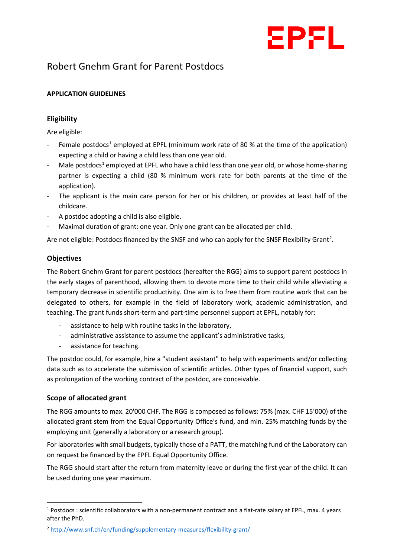

# Robert Gnehm Grant for Parent Postdocs

## **APPLICATION GUIDELINES**

## **Eligibility**

Are eligible:

- Female postdocs<sup>[1](#page-0-0)</sup> employed at EPFL (minimum work rate of 80 % at the time of the application) expecting a child or having a child less than one year old.
- Male postdocs<sup>[1](#page-0-1)</sup> employed at EPFL who have a child less than one year old, or whose home-sharing partner is expecting a child (80 % minimum work rate for both parents at the time of the application).
- The applicant is the main care person for her or his children, or provides at least half of the childcare.
- A postdoc adopting a child is also eligible.
- Maximal duration of grant: one year. Only one grant can be allocated per child.

Are not eligible: Postdocs financed by the SNSF and who can apply for the SNSF Flexibility Grant<sup>[2](#page-0-2)</sup>.

#### **Objectives**

The Robert Gnehm Grant for parent postdocs (hereafter the RGG) aims to support parent postdocs in the early stages of parenthood, allowing them to devote more time to their child while alleviating a temporary decrease in scientific productivity. One aim is to free them from routine work that can be delegated to others, for example in the field of laboratory work, academic administration, and teaching. The grant funds short-term and part-time personnel support at EPFL, notably for:

- assistance to help with routine tasks in the laboratory,
- administrative assistance to assume the applicant's administrative tasks,
- assistance for teaching.

The postdoc could, for example, hire a "student assistant" to help with experiments and/or collecting data such as to accelerate the submission of scientific articles. Other types of financial support, such as prolongation of the working contract of the postdoc, are conceivable.

#### **Scope of allocated grant**

The RGG amounts to max. 20'000 CHF. The RGG is composed as follows: 75% (max. CHF 15'000) of the allocated grant stem from the Equal Opportunity Office's fund, and min. 25% matching funds by the employing unit (generally a laboratory or a research group).

For laboratories with small budgets, typically those of a PATT, the matching fund of the Laboratory can on request be financed by the EPFL Equal Opportunity Office.

The RGG should start after the return from maternity leave or during the first year of the child. It can be used during one year maximum.

<span id="page-0-0"></span> $1$  Postdocs : scientific collaborators with a non-permanent contract and a flat-rate salary at EPFL, max. 4 years after the PhD.

<span id="page-0-2"></span><span id="page-0-1"></span><sup>2</sup> <http://www.snf.ch/en/funding/supplementary-measures/flexibility-grant/>